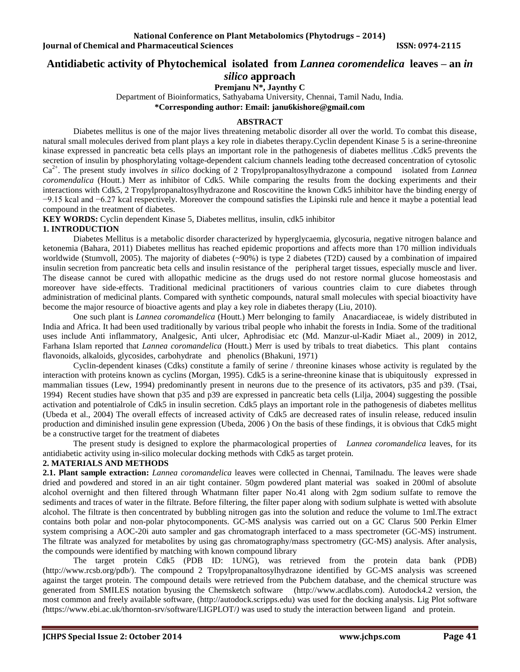# **Antidiabetic activity of Phytochemical isolated from** *Lannea coromendelica* **leaves – an** *in*

# *silico* **approach**

**Premjanu N\*, Jaynthy C**

Department of Bioinformatics, Sathyabama University, Chennai, Tamil Nadu, India.

**\*Corresponding author: Email: janu6kishore@gmail.com**

#### **ABSTRACT**

Diabetes mellitus is one of the major lives threatening metabolic disorder all over the world. To combat this disease, natural small molecules derived from plant plays a key role in diabetes therapy.Cyclin dependent Kinase 5 is a serine-threonine kinase expressed in pancreatic beta cells plays an important role in the pathogenesis of diabetes mellitus .Cdk5 prevents the secretion of insulin by phosphorylating voltage-dependent calcium channels leading tothe decreased concentration of cytosolic Ca2+. The present study involves *in silico* docking of 2 Tropylpropanaltosylhydrazone a compound isolated from *Lannea coromendalica* (Houtt.) Merr as inhibitor of Cdk5. While comparing the results from the docking experiments and their interactions with Cdk5, 2 Tropylpropanaltosylhydrazone and Roscovitine the known Cdk5 inhibitor have the binding energy of −9.15 kcal and −6.27 kcal respectively. Moreover the compound satisfies the Lipinski rule and hence it maybe a potential lead compound in the treatment of diabetes.

**KEY WORDS:** Cyclin dependent Kinase 5, Diabetes mellitus, insulin, cdk5 inhibitor

## **1. INTRODUCTION**

Diabetes Mellitus is a metabolic disorder characterized by hyperglycaemia, glycosuria, negative nitrogen balance and ketonemia (Bahara, 2011) Diabetes mellitus has reached epidemic proportions and affects more than 170 million individuals worldwide (Stumvoll, 2005). The majority of diabetes (~90%) is type 2 diabetes (T2D) caused by a combination of impaired insulin secretion from pancreatic beta cells and insulin resistance of the peripheral target tissues, especially muscle and liver. The disease cannot be cured with allopathic medicine as the drugs used do not restore normal glucose homeostasis and moreover have side-effects. Traditional medicinal practitioners of various countries claim to cure diabetes through administration of medicinal plants. Compared with synthetic compounds, natural small molecules with special bioactivity have become the major resource of bioactive agents and play a key role in diabetes therapy (Liu, 2010).

One such plant is *Lannea coromandelica* (Houtt.) Merr belonging to family Anacardiaceae, is widely distributed in India and Africa. It had been used traditionally by various tribal people who inhabit the forests in India. Some of the traditional uses include Anti inflammatory, Analgesic, Anti ulcer, Aphrodisiac etc (Md. Manzur-ul-Kadir Miaet al., 2009) in 2012, Farhana Islam reported that *Lannea coromandelica* (Houtt.) Merr is used by tribals to treat diabetics. This plant contains flavonoids, alkaloids, glycosides, carbohydrate and phenolics (Bhakuni, 1971)

Cyclin-dependent kinases (Cdks) constitute a family of serine / threonine kinases whose activity is regulated by the interaction with proteins known as cyclins (Morgan, 1995). Cdk5 is a serine-threonine kinase that is ubiquitously expressed in mammalian tissues (Lew, 1994) predominantly present in neurons due to the presence of its activators, p35 and p39. (Tsai, 1994) Recent studies have shown that p35 and p39 are expressed in pancreatic beta cells (Lilja, 2004) suggesting the possible activation and potentialrole of Cdk5 in insulin secretion. Cdk5 plays an important role in the pathogenesis of diabetes mellitus (Ubeda et al., 2004) The overall effects of increased activity of Cdk5 are decreased rates of insulin release, reduced insulin production and diminished insulin gene expression (Ubeda, 2006 ) On the basis of these findings, it is obvious that Cdk5 might be a constructive target for the treatment of diabetes

The present study is designed to explore the pharmacological properties of *Lannea coromandelica* leaves, for its antidiabetic activity using in-silico molecular docking methods with Cdk5 as target protein.

### **2. MATERIALS AND METHODS**

**2.1. Plant sample extraction:** *Lannea coromandelica* leaves were collected in Chennai, Tamilnadu. The leaves were shade dried and powdered and stored in an air tight container. 50gm powdered plant material was soaked in 200ml of absolute alcohol overnight and then filtered through Whatmann filter paper No.41 along with 2gm sodium sulfate to remove the sediments and traces of water in the filtrate. Before filtering, the filter paper along with sodium sulphate is wetted with absolute alcohol. The filtrate is then concentrated by bubbling nitrogen gas into the solution and reduce the volume to 1ml.The extract contains both polar and non-polar phytocomponents. GC-MS analysis was carried out on a GC Clarus 500 Perkin Elmer system comprising a AOC-20i auto sampler and gas chromatograph interfaced to a mass spectrometer (GC-MS) instrument. The filtrate was analyzed for metabolites by using gas chromatography/mass spectrometry (GC-MS) analysis. After analysis, the compounds were identified by matching with known compound library

The target protein Cdk5 (PDB ID: 1UNG), was retrieved from the protein data bank (PDB) (http://www.rcsb.org/pdb/). The compound 2 Tropylpropanaltosylhydrazone identified by GC-MS analysis was screened against the target protein. The compound details were retrieved from the Pubchem database, and the chemical structure was generated from SMILES notation byusing the Chemsketch software [\(http://www.acdlabs.com\)](http://www.acdlabs.com/). Autodock4.2 version, the most common and freely available software, [\(http://autodock.scripps.edu\)](http://autodock.scripps.edu/) was used for the docking analysis. Lig Plot software *(*<https://www.ebi.ac.uk/thornton-srv/software/LIGPLOT/>*)* was used to study the interaction between ligand and protein.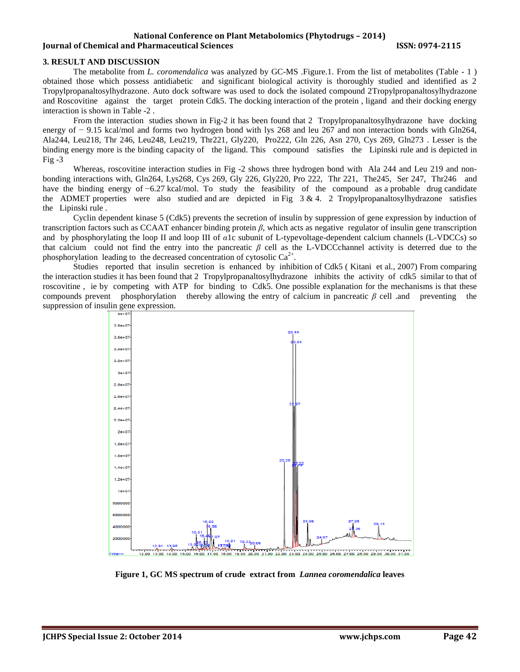#### **National Conference on Plant Metabolomics (Phytodrugs – 2014) Iournal of Chemical and Pharmaceutical Sciences ISSN: 0974-2115**

#### **3. RESULT AND DISCUSSION**

The metabolite from *L. coromendalica* was analyzed by GC-MS .Figure.1. From the list of metabolites (Table - 1 ) obtained those which possess antidiabetic and significant biological activity is thoroughly studied and identified as 2 Tropylpropanaltosylhydrazone. Auto dock software was used to dock the isolated compound 2Tropylpropanaltosylhydrazone and Roscovitine against the target protein Cdk5. The docking interaction of the protein , ligand and their docking energy interaction is shown in Table -2 .

From the interaction studies shown in Fig-2 it has been found that 2 Tropylpropanaltosylhydrazone have docking energy of − 9.15 kcal/mol and forms two hydrogen bond with lys 268 and leu 267 and non interaction bonds with Gln264, Ala244, Leu218, Thr 246, Leu248, Leu219, Thr221, Gly220, Pro222, Gln 226, Asn 270, Cys 269, Gln273 . Lesser is the binding energy more is the binding capacity of the ligand. This compound satisfies the Lipinski rule and is depicted in Fig  $-3$ 

Whereas, roscovitine interaction studies in Fig -2 shows three hydrogen bond with Ala 244 and Leu 219 and nonbonding interactions with, Gln264, Lys268, Cys 269, Gly 226, Gly220, Pro 222, Thr 221, The245, Ser 247, Thr246 and have the binding energy of −6.27 kcal/mol. To study the feasibility of the compound as a probable drug candidate the ADMET properties were also studied and are depicted in Fig  $3 \& 4$ . 2 Tropylpropanaltosylhydrazone satisfies the Lipinski rule .

Cyclin dependent kinase 5 (Cdk5) prevents the secretion of insulin by suppression of gene expression by induction of transcription factors such as CCAAT enhancer binding protein *β*, which acts as negative regulator of insulin gene transcription and by phosphorylating the loop II and loop III of *α*1c subunit of L-typevoltage-dependent calcium channels (L-VDCCs) so that calcium could not find the entry into the pancreatic *β* cell as the L-VDCCchannel activity is deterred due to the phosphorylation leading to the decreased concentration of cytosolic  $Ca^{2+}$ .

Studies reported that insulin secretion is enhanced by inhibition of Cdk5 ( Kitani et al., 2007) From comparing the interaction studies it has been found that 2 Tropylpropanaltosylhydrazone inhibits the activity of cdk5 similar to that of roscovitine , ie by competing with ATP for binding to Cdk5. One possible explanation for the mechanisms is that these compounds prevent phosphorylation thereby allowing the entry of calcium in pancreatic *β* cell .and preventing the suppression of insulin gene expression.



**Figure 1, GC MS spectrum of crude extract from** *Lannea coromendalica* **leaves**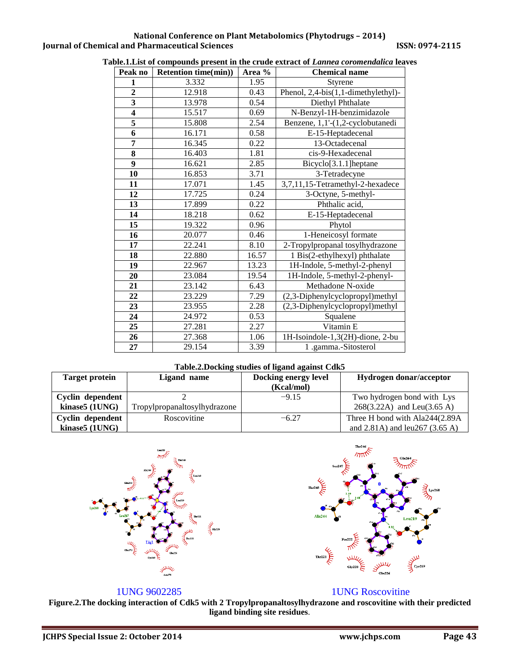## **National Conference on Plant Metabolomics (Phytodrugs – 2014) Journal of Chemical and Pharmaceutical Sciences ISSN: 0974-2115**

| Peak no                 | <b>Retention time(min))</b> | Area % | <b>Chemical name</b>                |  |
|-------------------------|-----------------------------|--------|-------------------------------------|--|
| 1                       | 3.332                       | 1.95   | Styrene                             |  |
| $\overline{2}$          | 12.918                      | 0.43   | Phenol, 2,4-bis(1,1-dimethylethyl)- |  |
| $\overline{\mathbf{3}}$ | 13.978                      | 0.54   | Diethyl Phthalate                   |  |
| $\overline{\mathbf{4}}$ | 15.517                      | 0.69   | N-Benzyl-1H-benzimidazole           |  |
| 5                       | 15.808                      | 2.54   | Benzene, 1,1'-(1,2-cyclobutanedi    |  |
| 6                       | 16.171                      | 0.58   | E-15-Heptadecenal                   |  |
| 7                       | 16.345                      | 0.22   | 13-Octadecenal                      |  |
| 8                       | 16.403                      | 1.81   | cis-9-Hexadecenal                   |  |
| 9                       | 16.621                      | 2.85   | Bicyclo[3.1.1]heptane               |  |
| 10                      | 16.853                      | 3.71   | 3-Tetradecyne                       |  |
| 11                      | 17.071                      | 1.45   | 3,7,11,15-Tetramethyl-2-hexadece    |  |
| 12                      | 17.725                      | 0.24   | 3-Octyne, 5-methyl-                 |  |
| 13                      | 17.899                      | 0.22   | Phthalic acid,                      |  |
| 14                      | 18.218                      | 0.62   | E-15-Heptadecenal                   |  |
| 15                      | 19.322                      | 0.96   | Phytol                              |  |
| 16                      | 20.077                      | 0.46   | 1-Heneicosyl formate                |  |
| 17                      | 22.241                      | 8.10   | 2-Tropylpropanal tosylhydrazone     |  |
| 18                      | 22.880                      | 16.57  | 1 Bis(2-ethylhexyl) phthalate       |  |
| 19                      | 22.967                      | 13.23  | 1H-Indole, 5-methyl-2-phenyl        |  |
| 20                      | 23.084                      | 19.54  | 1H-Indole, 5-methyl-2-phenyl-       |  |
| 21                      | 23.142                      | 6.43   | Methadone N-oxide                   |  |
| 22                      | 23.229                      | 7.29   | (2,3-Diphenylcyclopropyl)methyl     |  |
| 23                      | 23.955                      | 2.28   | (2,3-Diphenylcyclopropyl)methyl     |  |
| 24                      | 24.972                      | 0.53   | Squalene                            |  |
| 25                      | 27.281                      | 2.27   | Vitamin E                           |  |
| 26                      | 27.368                      | 1.06   | 1H-Isoindole-1,3(2H)-dione, 2-bu    |  |
| 27                      | 29.154                      | 3.39   | 1 .gamma.-Sitosterol                |  |

## **Table.1.List of compounds present in the crude extract of** *Lannea coromendalica* **leaves**

## **Table.2.Docking studies of ligand against Cdk5**

| <b>Target protein</b> | Ligand name                  | <b>Docking energy level</b><br>(Kcal/mol) | Hydrogen donar/acceptor              |
|-----------------------|------------------------------|-------------------------------------------|--------------------------------------|
|                       |                              |                                           |                                      |
| Cyclin dependent      |                              | $-9.15$                                   | Two hydrogen bond with Lys           |
| kinase5 (1UNG)        | Tropylpropanaltosylhydrazone |                                           | 268(3.22A) and Leu(3.65 A)           |
| Cyclin dependent      | Roscovitine                  | $-6.27$                                   | Three H bond with Ala244(2.89A       |
| kinase5 (1UNG)        |                              |                                           | and $2.81A$ ) and leu $267$ (3.65 A) |





## 1UNG 9602285 1UNG Roscovitine

**Figure.2.The docking interaction of Cdk5 with 2 Tropylpropanaltosylhydrazone and roscovitine with their predicted ligand binding site residues**.